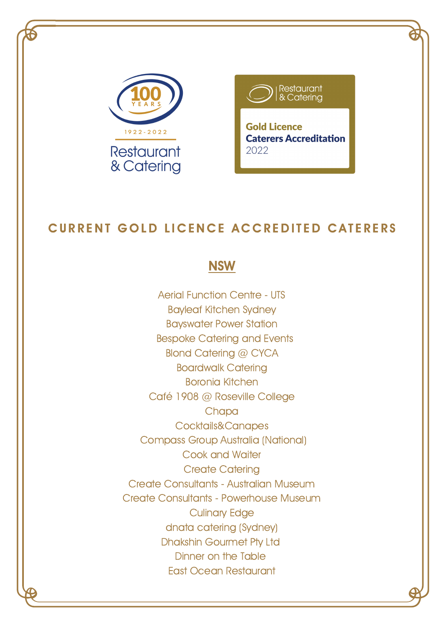



## CURRENT GOLD LICENCE ACCREDITED CATERERS

#### **NSW**

Aerial Function Centre - UTS Bayleaf Kitchen Sydney Bayswater Power Station Bespoke Catering and Events Blond Catering @ CYCA Boardwalk Catering Boronia Kitchen Café 1908 @ Roseville College **Chapa** Cocktails&Canapes Compass Group Australia (National) Cook and Waiter Create Catering Create Consultants - Australian Museum Create Consultants - Powerhouse Museum Culinary Edge dnata catering (Sydney) Dhakshin Gourmet Pty Ltd Dinner on the Table East Ocean Restaurant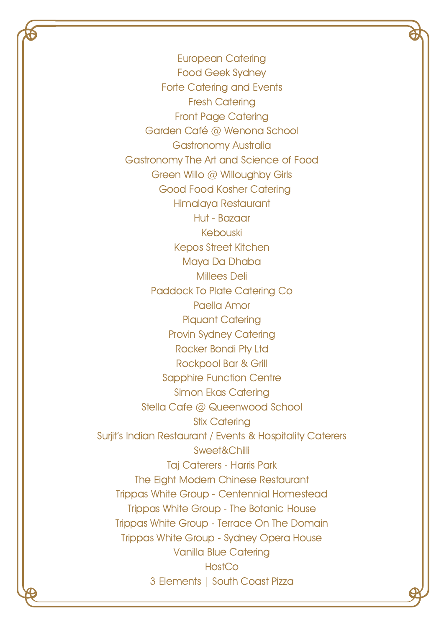European Catering Food Geek Sydney Forte Catering and Events Fresh Catering Front Page Catering Garden Café @ Wenona School Gastronomy Australia Gastronomy The Art and Science of Food Green Willo @ Willoughby Girls Good Food Kosher Catering Himalaya Restaurant Hut - Bazaar Kebouski Kepos Street Kitchen Maya Da Dhaba Millees Deli Paddock To Plate Catering Co Paella Amor Piquant Catering Provin Sydney Catering Rocker Bondi Pty Ltd Rockpool Bar & Grill Sapphire Function Centre Simon Ekas Catering Stella Cafe @ Queenwood School Stix Catering Surjit's Indian Restaurant / Events & Hospitality Caterers Sweet&Chilli Taj Caterers - Harris Park The Eight Modern Chinese Restaurant Trippas White Group - Centennial Homestead Trippas White Group - The Botanic House Trippas White Group - Terrace On The Domain Trippas White Group - Sydney Opera House Vanilla Blue Catering **HostCo** 3 Elements | South Coast Pizza